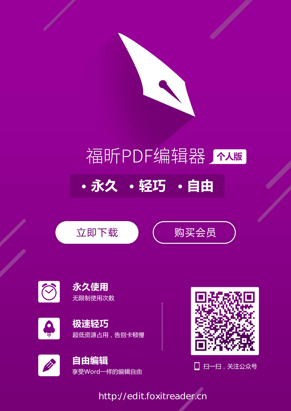

# 福昕PDF编辑器介码

・永久 ・轻巧 ・自由











## 超低资源占用,告别卡顿慢











[http://edit.foxitreader.cn](http://edit.foxitreader.cn/?agent=0033)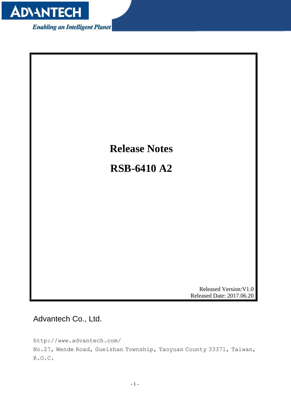

**Enabling an Intelligent Planet** 



<span id="page-1-0"></span>Advantech Co., Ltd.

http://www.advantech.com/ No.27, Wende Road, Gueishan Township, Taoyuan County 33371, Taiwan, R.O.C.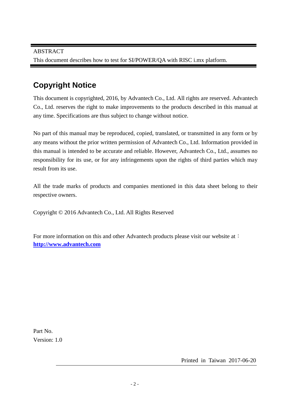#### **Copyright Notice**

This document is copyrighted, 2016, by Advantech Co., Ltd. All rights are reserved. Advantech Co., Ltd. reserves the right to make improvements to the products described in this manual at any time. Specifications are thus subject to change without notice.

No part of this manual may be reproduced, copied, translated, or transmitted in any form or by any means without the prior written permission of Advantech Co., Ltd. Information provided in this manual is intended to be accurate and reliable. However, Advantech Co., Ltd., assumes no responsibility for its use, or for any infringements upon the rights of third parties which may result from its use.

All the trade marks of products and companies mentioned in this data sheet belong to their respective owners.

Copyright © 2016 Advantech Co., Ltd. All Rights Reserved

For more information on this and other Advantech products please visit our website at: **http://www.advantech.com**

Part No. Version: 1.0

Printed in Taiwan 2017-06-20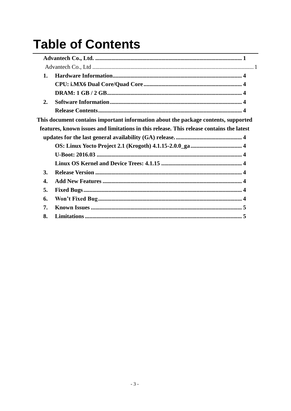### **Table of Contents**

| 1. |                                                                                          |
|----|------------------------------------------------------------------------------------------|
|    |                                                                                          |
|    |                                                                                          |
| 2. |                                                                                          |
|    |                                                                                          |
|    | This document contains important information about the package contents, supported       |
|    | features, known issues and limitations in this release. This release contains the latest |
|    |                                                                                          |
|    |                                                                                          |
|    |                                                                                          |
|    |                                                                                          |
| 3. |                                                                                          |
| 4. |                                                                                          |
| 5. |                                                                                          |
| 6. |                                                                                          |
| 7. |                                                                                          |
| 8. |                                                                                          |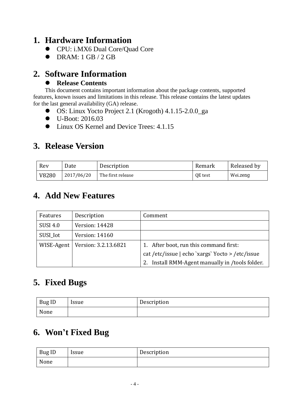#### <span id="page-4-1"></span><span id="page-4-0"></span>**1. Hardware Information**

- CPU: i.MX6 Dual Core/Quad Core
- <span id="page-4-2"></span> $\bullet$  DRAM: 1 GB / 2 GB

#### <span id="page-4-3"></span>**2. Software Information**

#### <span id="page-4-5"></span>**Release Contents**

<span id="page-4-4"></span>This document contains important information about the package contents, supported features, known issues and limitations in this release. This release contains the latest updates for the last general availability (GA) release.

- <span id="page-4-6"></span>OS: Linux Yocto Project 2.1 (Krogoth) 4.1.15-2.0.0\_ga
- <span id="page-4-7"></span>● U-Boot: 2016.03
- <span id="page-4-8"></span> $\bullet$  Linux OS Kernel and Device Trees: 4.1.15

#### <span id="page-4-9"></span>**3. Release Version**

| Rev   | Date       | Description       | Remark  | Released by |
|-------|------------|-------------------|---------|-------------|
| V8280 | 2017/06/20 | The first release | QE test | Wei.zeng    |

#### <span id="page-4-10"></span>**4. Add New Features**

| Features        | Description                         | Comment                                                                                         |
|-----------------|-------------------------------------|-------------------------------------------------------------------------------------------------|
| <b>SUSI 4.0</b> | Version: 14428                      |                                                                                                 |
| SUSI_Iot        | Version: 14160                      |                                                                                                 |
|                 | WISE-Agent   Version: $3.2.13.6821$ | 1. After boot, run this command first:                                                          |
|                 |                                     | cat/etc/issue   echo `xargs` Yocto > /etc/issue<br>Install RMM-Agent manually in /tools folder. |

#### <span id="page-4-11"></span>**5. Fixed Bugs**

| <b>Bug ID</b> | <i><u><b>Issue</b></u></i> | Description |
|---------------|----------------------------|-------------|
| None          |                            |             |

#### <span id="page-4-12"></span>**6. Won't Fixed Bug**

| Bug ID | <i><u><b>Issue</b></u></i> | Description |
|--------|----------------------------|-------------|
| None   |                            |             |